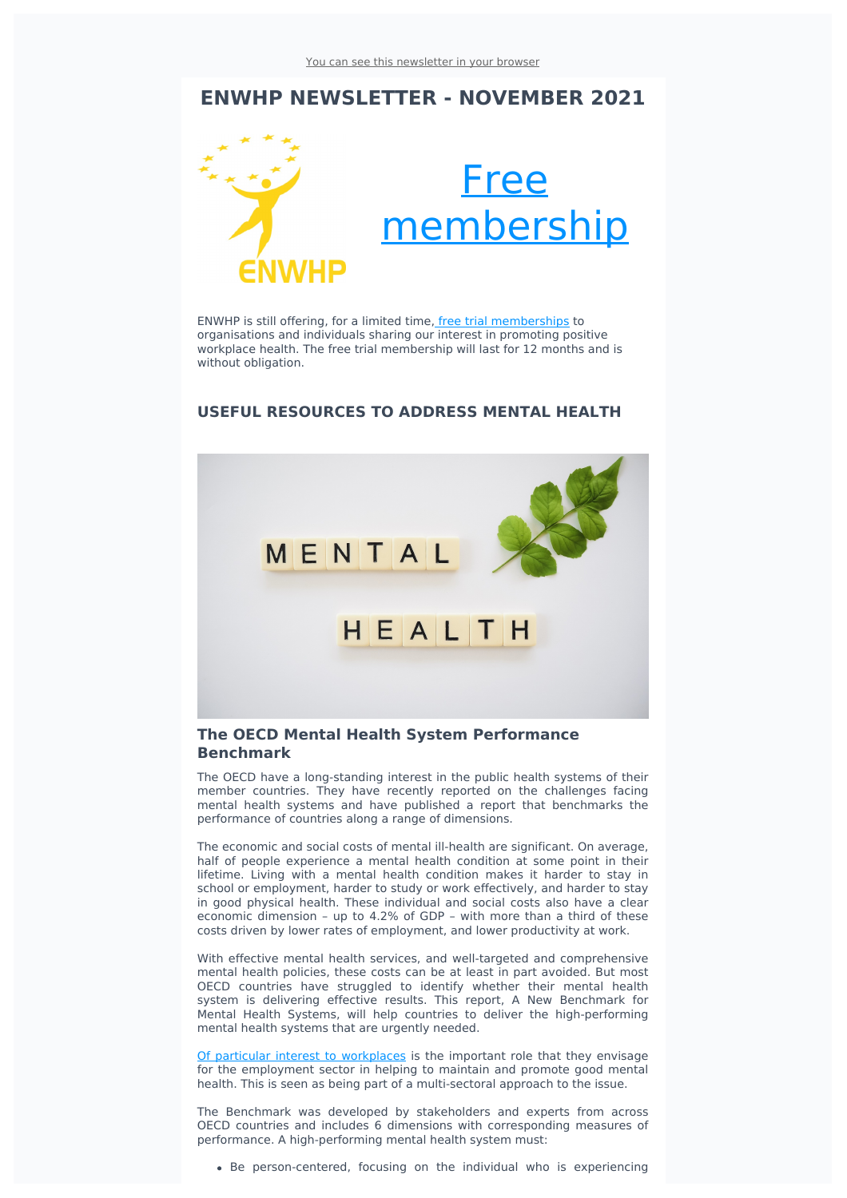# **ENWHP NEWSLETTER - NOVEMBER 2021**



ENWHP is still offering, for a limited time, free trial [memberships](https://www.enwhp.org/?i=portal.en.join-us-now&utm_source=sendinblue&utm_campaign=Newsletter_November_2021&utm_medium=email) to organisations and individuals sharing our interest in promoting positive workplace health. The free trial membership will last for 12 months and is without obligation.

## **USEFUL RESOURCES TO ADDRESS MENTAL HEALTH**



## **The OECD Mental Health System Performance Benchmark**

The OECD have a long-standing interest in the public health systems of their member countries. They have recently reported on the challenges facing mental health systems and have published a report that benchmarks the performance of countries along a range of dimensions.

The economic and social costs of mental ill-health are significant. On average, half of people experience a mental health condition at some point in their lifetime. Living with a mental health condition makes it harder to stay in school or employment, harder to study or work effectively, and harder to stay in good physical health. These individual and social costs also have a clear economic dimension – up to 4.2% of GDP – with more than a third of these costs driven by lower rates of employment, and lower productivity at work.

With effective mental health services, and well-targeted and comprehensive mental health policies, these costs can be at least in part avoided. But most OECD countries have struggled to identify whether their mental health system is delivering effective results. This report, A New Benchmark for Mental Health Systems, will help countries to deliver the high-performing mental health systems that are urgently needed.

Of particular interest to [workplaces](https://www.oecd-ilibrary.org/sites/4ed890f6-en/1/3/5/index.html?itemId=/content/publication/4ed890f6-en&_csp_=8fad1a77c24615fd7aca72507e5fc2f9&itemIGO=oecd&itemContentType=book&utm_source=sendinblue&utm_campaign=Newsletter_November_2021&utm_medium=email#section-d1e30471) is the important role that they envisage for the employment sector in helping to maintain and promote good mental health. This is seen as being part of a multi-sectoral approach to the issue.

The Benchmark was developed by stakeholders and experts from across OECD countries and includes 6 dimensions with corresponding measures of performance. A high-performing mental health system must:

Be person-centered, focusing on the individual who is experiencing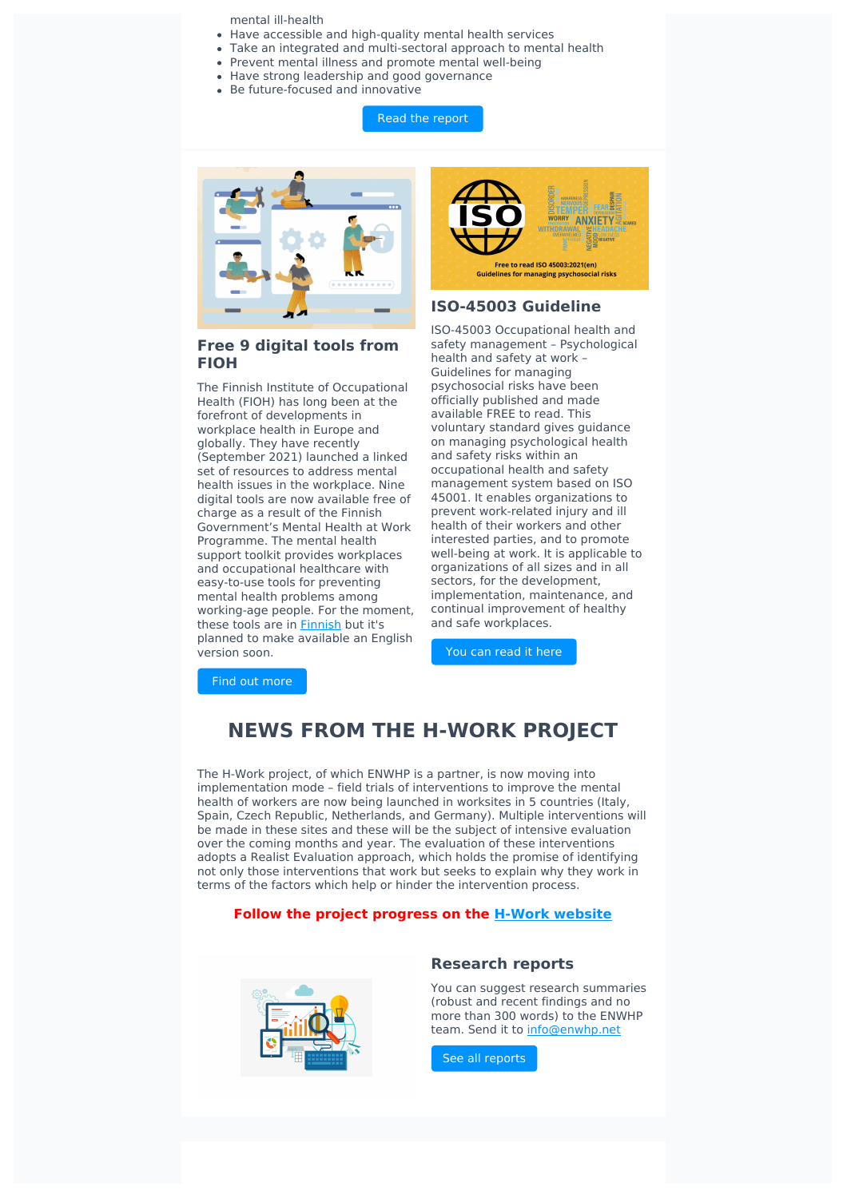mental ill-health

- Have accessible and high-quality mental health services
- Take an integrated and multi-sectoral approach to mental health
- Prevent mental illness and promote mental well-being
- Have strong leadership and good governance
- Be future-focused and innovative

Read the [report](https://www.oecd.org/health/a-new-benchmark-for-mental-health-systems-4ed890f6-en.htm?utm_source=sendinblue&utm_campaign=Newsletter_November_2021&utm_medium=email)



## **Free 9 digital tools from FIOH**

The Finnish Institute of Occupational Health (FIOH) has long been at the forefront of developments in workplace health in Europe and globally. They have recently (September 2021) launched a linked set of resources to address mental health issues in the workplace. Nine digital tools are now available free of charge as a result of the Finnish Government's Mental Health at Work Programme. The mental health support toolkit provides workplaces and occupational healthcare with easy-to-use tools for preventing mental health problems among working-age people. For the moment, these tools are in **[Finnish](http://hyvatyo.ttl.fi/mielityo/etusivu?utm_source=sendinblue&utm_campaign=Newsletter_November_2021&utm_medium=email)** but it's planned to make available an English version soon. You can [read](https://www.iso.org/obp/ui/?utm_source=sendinblue&utm_campaign=Newsletter_November_2021&utm_medium=email#iso:std:iso:45003:ed-1:v1:en) it here



## **ISO-45003 Guideline**

ISO-45003 Occupational health and safety management – Psychological health and safety at work – Guidelines for managing psychosocial risks have been officially published and made available FREE to read. This voluntary standard gives guidance on managing psychological health and safety risks within an occupational health and safety management system based on ISO 45001. It enables organizations to prevent work-related injury and ill health of their workers and other interested parties, and to promote well-being at work. It is applicable to organizations of all sizes and in all sectors, for the development, implementation, maintenance, and continual improvement of healthy and safe workplaces.

Find out [more](http://hyvatyo.ttl.fi/en/mielityo/in-english?utm_source=sendinblue&utm_campaign=Newsletter_November_2021&utm_medium=email)

# **NEWS FROM THE H-WORK PROJECT**

The H-Work project, of which ENWHP is a partner, is now moving into implementation mode – field trials of interventions to improve the mental health of workers are now being launched in worksites in 5 countries (Italy, Spain, Czech Republic, Netherlands, and Germany). Multiple interventions will be made in these sites and these will be the subject of intensive evaluation over the coming months and year. The evaluation of these interventions adopts a Realist Evaluation approach, which holds the promise of identifying not only those interventions that work but seeks to explain why they work in terms of the factors which help or hinder the intervention process.

#### **Follow the project progress on the H-Work [website](https://h-work.eu/news/?utm_source=sendinblue&utm_campaign=Newsletter_November_2021&utm_medium=email)**



### **Research reports**

You can suggest research summaries (robust and recent findings and no more than 300 words) to the ENWHP team. Send it to [info@enwhp.net](mailto:info@enwhp.net?subject=Research%20report%20proposal)

See all [reports](https://www.enwhp.org/?i=portal.en.research-reports&utm_source=sendinblue&utm_campaign=Newsletter_November_2021&utm_medium=email)